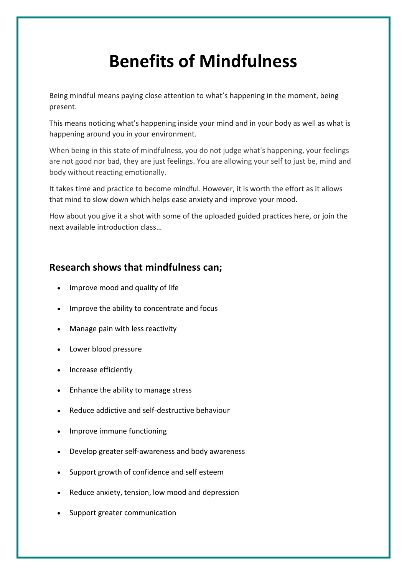## **Benefits of Mindfulness**

Being mindful means paying close attention to what's happening in the moment, being present.

This means noticing what's happening inside your mind and in your body as well as what is happening around you in your environment.

When being in this state of mindfulness, you do not judge what's happening, your feelings are not good nor bad, they are just feelings. You are allowing your self to just be, mind and body without reacting emotionally.

It takes time and practice to become mindful. However, it is worth the effort as it allows that mind to slow down which helps ease anxiety and improve your mood.

How about you give it a shot with some of the uploaded guided practices here, or join the next available introduction class…

## **Research shows that mindfulness can;**

- Improve mood and quality of life
- Improve the ability to concentrate and focus
- Manage pain with less reactivity
- Lower blood pressure
- Increase efficiently
- Enhance the ability to manage stress
- Reduce addictive and self-destructive behaviour
- Improve immune functioning
- Develop greater self-awareness and body awareness
- Support growth of confidence and self esteem
- Reduce anxiety, tension, low mood and depression
- Support greater communication